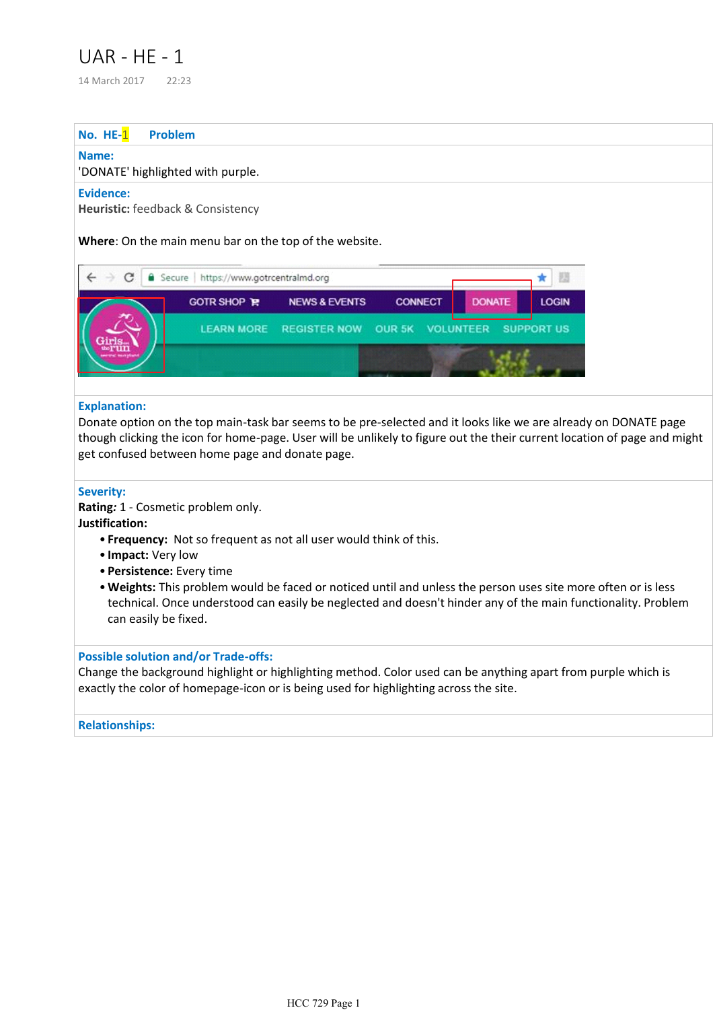# UAR - HE - 1

14 March 2017 22:23

#### **No. HE-**1 **Problem**

#### **Name:**

## 'DONATE' highlighted with purple.

### **Evidence:**

**Heuristic:** feedback & Consistency

**Where**: On the main menu bar on the top of the website.

| C | Secure   https://www.gotrcentralmd.org              |                          |                |               |              |  |
|---|-----------------------------------------------------|--------------------------|----------------|---------------|--------------|--|
|   | <b>GOTR SHOP P.</b>                                 | <b>NEWS &amp; EVENTS</b> | <b>CONNECT</b> | <b>DONATE</b> | <b>LOGIN</b> |  |
|   | LEARN MORE REGISTER NOW OUR 5K VOLUNTEER SUPPORT US |                          |                |               |              |  |
|   |                                                     |                          |                |               |              |  |

## **Explanation:**

Donate option on the top main-task bar seems to be pre-selected and it looks like we are already on DONATE page though clicking the icon for home-page. User will be unlikely to figure out the their current location of page and might get confused between home page and donate page.

## **Severity:**

**Rating***:* 1 - Cosmetic problem only.

**Justification:** 

- **Frequency:** Not so frequent as not all user would think of this.
- **Impact:** Very low
- **Persistence:** Every time
- **Weights:** This problem would be faced or noticed until and unless the person uses site more often or is less technical. Once understood can easily be neglected and doesn't hinder any of the main functionality. Problem can easily be fixed.

# **Possible solution and/or Trade-offs:**

Change the background highlight or highlighting method. Color used can be anything apart from purple which is exactly the color of homepage-icon or is being used for highlighting across the site.

# **Relationships:**